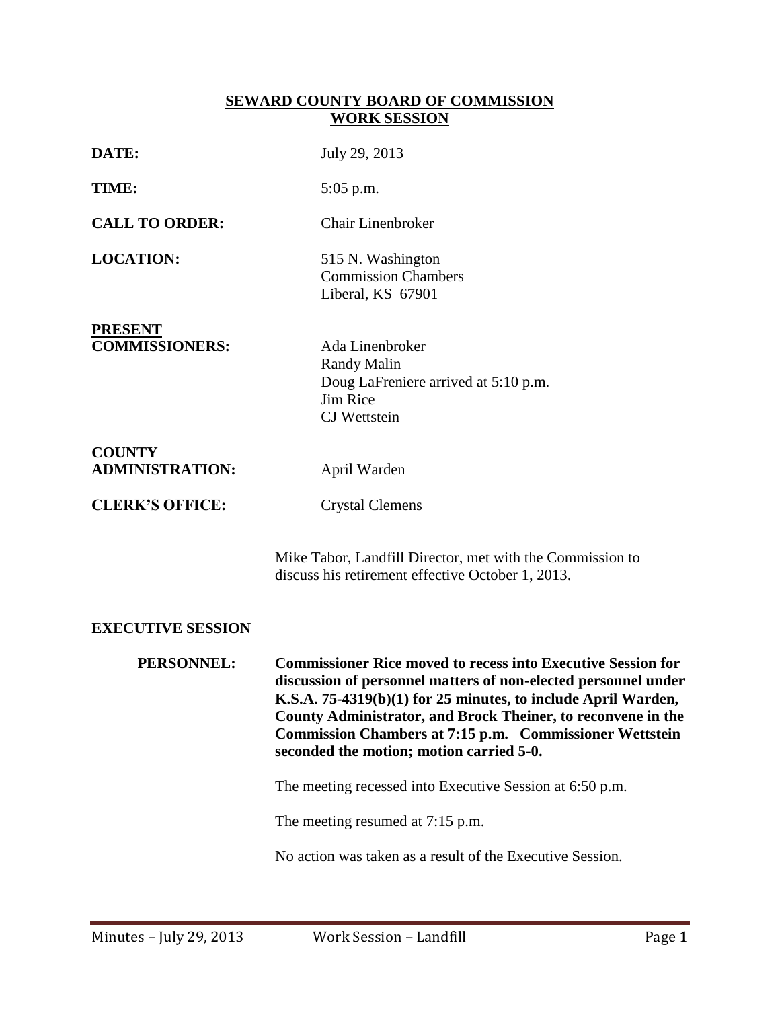## **SEWARD COUNTY BOARD OF COMMISSION WORK SESSION**

| DATE:                                   | July 29, 2013                                                                                                                                                                                                                                                                                                                                                                        |
|-----------------------------------------|--------------------------------------------------------------------------------------------------------------------------------------------------------------------------------------------------------------------------------------------------------------------------------------------------------------------------------------------------------------------------------------|
| TIME:                                   | $5:05$ p.m.                                                                                                                                                                                                                                                                                                                                                                          |
| <b>CALL TO ORDER:</b>                   | <b>Chair Linenbroker</b>                                                                                                                                                                                                                                                                                                                                                             |
| <b>LOCATION:</b>                        | 515 N. Washington<br><b>Commission Chambers</b><br>Liberal, KS 67901                                                                                                                                                                                                                                                                                                                 |
| <b>PRESENT</b><br><b>COMMISSIONERS:</b> | Ada Linenbroker<br><b>Randy Malin</b><br>Doug LaFreniere arrived at 5:10 p.m.<br><b>Jim Rice</b><br>CJ Wettstein                                                                                                                                                                                                                                                                     |
| <b>COUNTY</b><br><b>ADMINISTRATION:</b> | April Warden                                                                                                                                                                                                                                                                                                                                                                         |
| <b>CLERK'S OFFICE:</b>                  | <b>Crystal Clemens</b>                                                                                                                                                                                                                                                                                                                                                               |
|                                         | Mike Tabor, Landfill Director, met with the Commission to<br>discuss his retirement effective October 1, 2013.                                                                                                                                                                                                                                                                       |
| <b>EXECUTIVE SESSION</b>                |                                                                                                                                                                                                                                                                                                                                                                                      |
| PERSONNEL:                              | <b>Commissioner Rice moved to recess into Executive Session for</b><br>discussion of personnel matters of non-elected personnel under<br>K.S.A. 75-4319(b)(1) for 25 minutes, to include April Warden,<br>County Administrator, and Brock Theiner, to reconvene in the<br><b>Commission Chambers at 7:15 p.m. Commissioner Wettstein</b><br>seconded the motion; motion carried 5-0. |
|                                         | The meeting recessed into Executive Session at 6:50 p.m.                                                                                                                                                                                                                                                                                                                             |
|                                         | The meeting resumed at 7:15 p.m.                                                                                                                                                                                                                                                                                                                                                     |
|                                         | No action was taken as a result of the Executive Session.                                                                                                                                                                                                                                                                                                                            |
|                                         |                                                                                                                                                                                                                                                                                                                                                                                      |